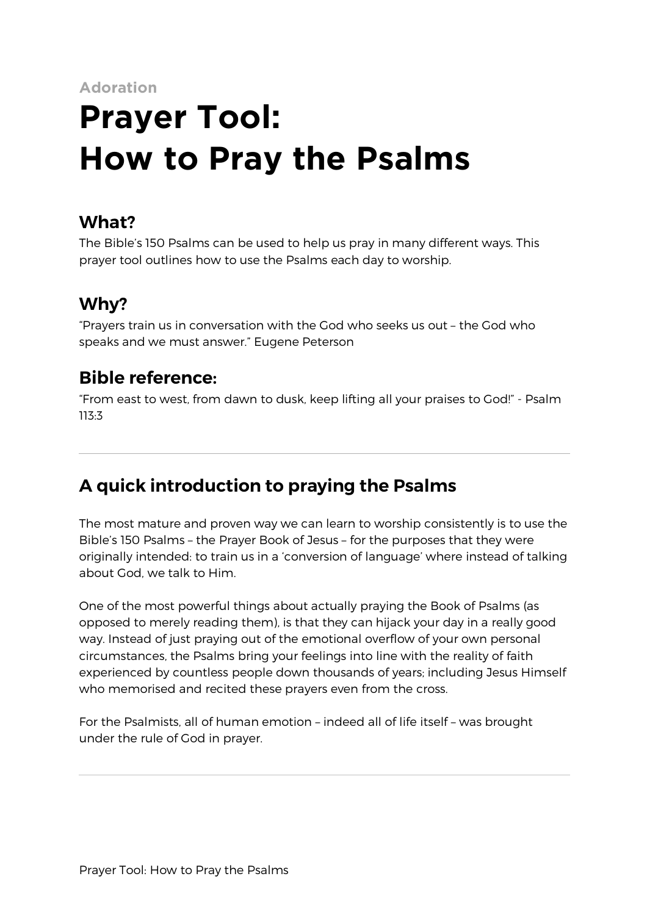## **Adoration**

# **Prayer Tool: How to Pray the Psalms**

# **What?**

The Bible's 150 Psalms can be used to help us pray in many different ways. This prayer tool outlines how to use the Psalms each day to worship.

## **Why?**

"Prayers train us in conversation with the God who seeks us out – the God who speaks and we must answer." Eugene Peterson

## **Bible reference:**

"From east to west, from dawn to dusk, keep lifting all your praises to God!" - Psalm 113:3

# **A quick introduction to praying the Psalms**

The most mature and proven way we can learn to worship consistently is to use the Bible's 150 Psalms – the Prayer Book of Jesus – for the purposes that they were originally intended: to train us in a 'conversion of language' where instead of talking about God, we talk to Him.

One of the most powerful things about actually praying the Book of Psalms (as opposed to merely reading them), is that they can hijack your day in a really good way. Instead of just praying out of the emotional overflow of your own personal circumstances, the Psalms bring your feelings into line with the reality of faith experienced by countless people down thousands of years; including Jesus Himself who memorised and recited these prayers even from the cross.

For the Psalmists, all of human emotion – indeed all of life itself – was brought under the rule of God in prayer.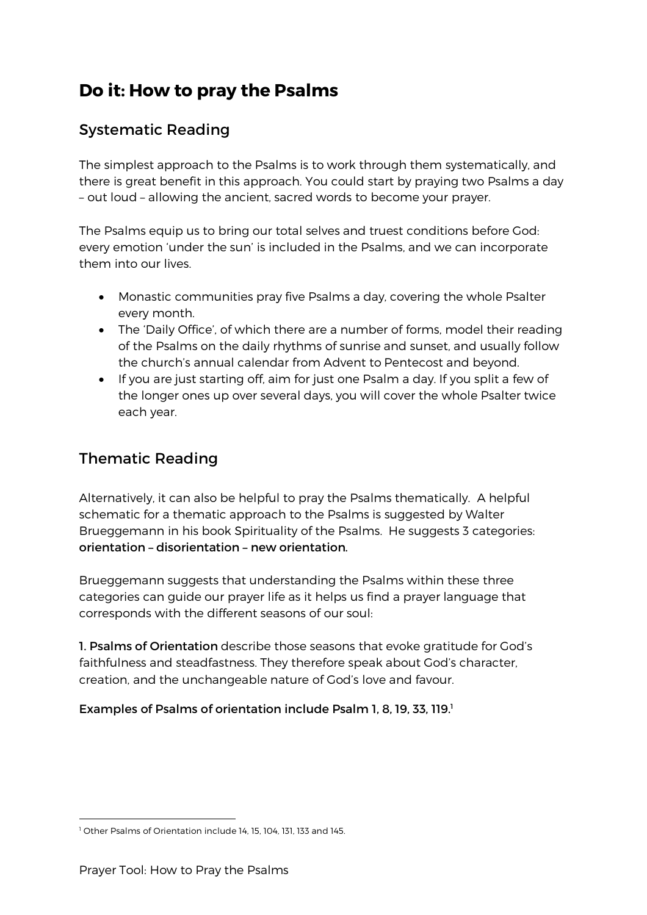# **Do it: How to pray the Psalms**

## Systematic Reading

The simplest approach to the Psalms is to work through them systematically, and there is great benefit in this approach. You could start by praying two Psalms a day – out loud – allowing the ancient, sacred words to become your prayer.

The Psalms equip us to bring our total selves and truest conditions before God: every emotion 'under the sun' is included in the Psalms, and we can incorporate them into our lives.

- Monastic communities pray five Psalms a day, covering the whole Psalter every month.
- The 'Daily Office', of which there are a number of forms, model their reading of the Psalms on the daily rhythms of sunrise and sunset, and usually follow the church's annual calendar from Advent to Pentecost and beyond.
- If you are just starting off, aim for just one Psalm a day. If you split a few of the longer ones up over several days, you will cover the whole Psalter twice each year.

## Thematic Reading

Alternatively, it can also be helpful to pray the Psalms thematically. A helpful schematic for a thematic approach to the Psalms is suggested by Walter Brueggemann in his book Spirituality of the Psalms. He suggests 3 categories: orientation – disorientation – new orientation.

Brueggemann suggests that understanding the Psalms within these three categories can guide our prayer life as it helps us find a prayer language that corresponds with the different seasons of our soul:

1. Psalms of Orientation describe those seasons that evoke gratitude for God's faithfulness and steadfastness. They therefore speak about God's character, creation, and the unchangeable nature of God's love and favour.

Examples of Psalms of orientation include Psalm 1, 8, 19, 33, 119.<sup>1</sup>

 $\overline{a}$ <sup>1</sup> Other Psalms of Orientation include 14, 15, 104, 131, 133 and 145.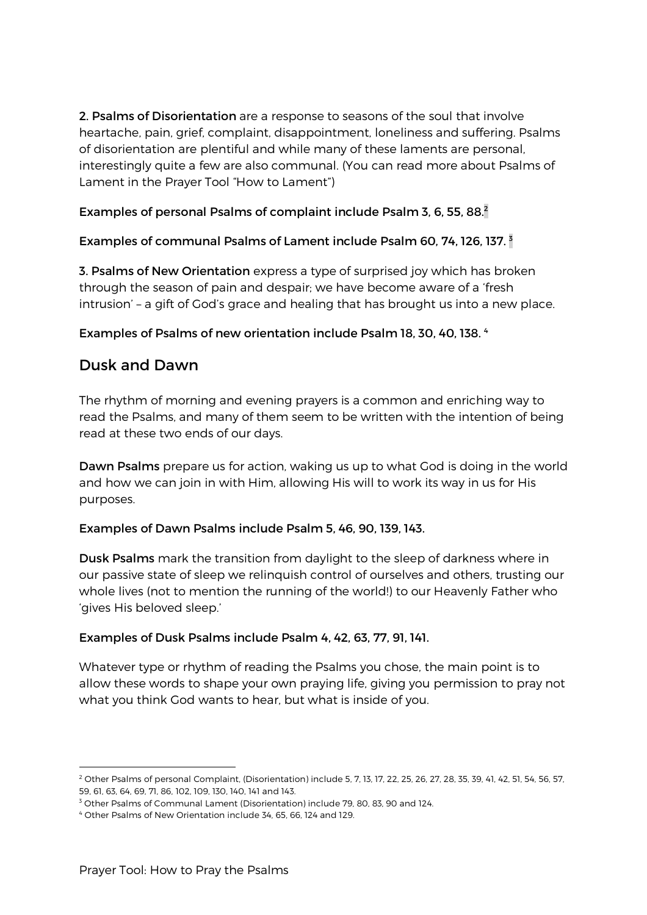2. Psalms of Disorientation are a response to seasons of the soul that involve heartache, pain, grief, complaint, disappointment, loneliness and suffering. Psalms of disorientation are plentiful and while many of these laments are personal, interestingly quite a few are also communal. (You can read more about Psalms of Lament in the Prayer Tool "How to Lament")

## Examples of personal Psalms of complaint include Psalm 3, 6, 55, 88.<sup>2</sup>

### Examples of communal Psalms of Lament include Psalm 60, 74, 126, 137. 3

3. Psalms of New Orientation express a type of surprised joy which has broken through the season of pain and despair; we have become aware of a 'fresh intrusion' – a gift of God's grace and healing that has brought us into a new place.

#### Examples of Psalms of new orientation include Psalm 18, 30, 40, 138. 4

## Dusk and Dawn

The rhythm of morning and evening prayers is a common and enriching way to read the Psalms, and many of them seem to be written with the intention of being read at these two ends of our days.

Dawn Psalms prepare us for action, waking us up to what God is doing in the world and how we can join in with Him, allowing His will to work its way in us for His purposes.

#### Examples of Dawn Psalms include Psalm 5, 46, 90, 139, 143.

Dusk Psalms mark the transition from daylight to the sleep of darkness where in our passive state of sleep we relinquish control of ourselves and others, trusting our whole lives (not to mention the running of the world!) to our Heavenly Father who 'gives His beloved sleep.'

#### Examples of Dusk Psalms include Psalm 4, 42, 63, 77, 91, 141.

Whatever type or rhythm of reading the Psalms you chose, the main point is to allow these words to shape your own praying life, giving you permission to pray not what you think God wants to hear, but what is inside of you.

 $\overline{a}$ <sup>2</sup> Other Psalms of personal Complaint, (Disorientation) include 5, 7, 13, 17, 22, 25, 26, 27, 28, 35, 39, 41, 42, 51, 54, 56, 57, 59, 61, 63, 64, 69, 71, 86, 102, 109, 130, 140, 141 and 143.

<sup>3</sup> Other Psalms of Communal Lament (Disorientation) include 79, 80, 83, 90 and 124.

<sup>4</sup> Other Psalms of New Orientation include 34, 65, 66, 124 and 129.